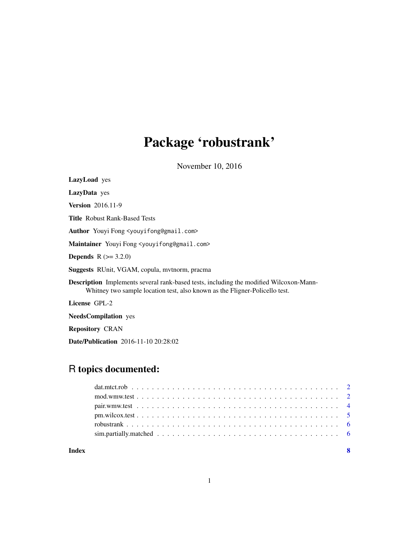## Package 'robustrank'

November 10, 2016

LazyLoad yes

LazyData yes

Version 2016.11-9

Title Robust Rank-Based Tests

Author Youyi Fong <youyifong@gmail.com>

Maintainer Youyi Fong <youyifong@gmail.com>

**Depends** R  $(>= 3.2.0)$ 

Suggests RUnit, VGAM, copula, mvtnorm, pracma

Description Implements several rank-based tests, including the modified Wilcoxon-Mann-Whitney two sample location test, also known as the Fligner-Policello test.

License GPL-2

NeedsCompilation yes

Repository CRAN

Date/Publication 2016-11-10 20:28:02

### R topics documented:

| Index | - 8 |
|-------|-----|
|       |     |
|       |     |
|       |     |
|       |     |
|       |     |
|       |     |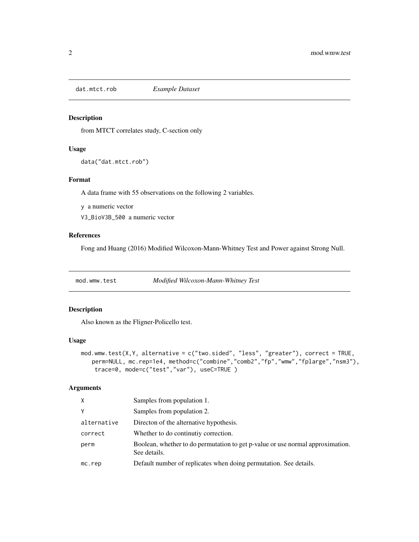<span id="page-1-0"></span>

#### Description

from MTCT correlates study, C-section only

#### Usage

data("dat.mtct.rob")

#### Format

A data frame with 55 observations on the following 2 variables.

y a numeric vector

V3\_BioV3B\_500 a numeric vector

#### References

Fong and Huang (2016) Modified Wilcoxon-Mann-Whitney Test and Power against Strong Null.

mod.wmw.test *Modified Wilcoxon-Mann-Whitney Test*

#### Description

Also known as the Fligner-Policello test.

#### Usage

```
mod.wmw.test(X,Y, alternative = c("two.sided", "less", "greater"), correct = TRUE,
   perm=NULL, mc.rep=1e4, method=c("combine","comb2","fp","wmw","fplarge","nsm3"),
   trace=0, mode=c("test","var"), useC=TRUE )
```
#### Arguments

| X           | Samples from population 1.                                                                     |
|-------------|------------------------------------------------------------------------------------------------|
| Υ           | Samples from population 2.                                                                     |
| alternative | Directon of the alternative hypothesis.                                                        |
| correct     | Whether to do continutiv correction.                                                           |
| perm        | Boolean, whether to do permutation to get p-value or use normal approximation.<br>See details. |
| mc. rep     | Default number of replicates when doing permutation. See details.                              |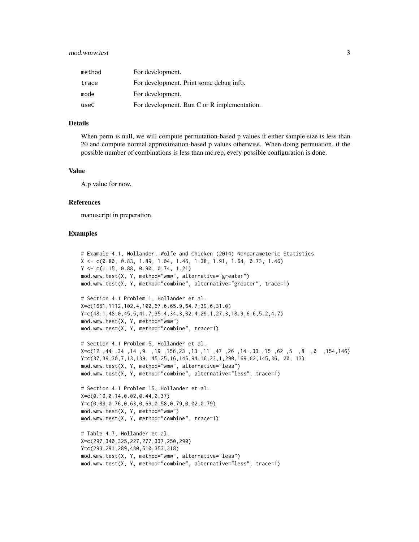#### mod.wmw.test 3

| method | For development.                            |
|--------|---------------------------------------------|
| trace  | For development. Print some debug info.     |
| mode   | For development.                            |
| useC   | For development. Run C or R implementation. |

#### Details

When perm is null, we will compute permutation-based p values if either sample size is less than 20 and compute normal approximation-based p values otherwise. When doing permuation, if the possible number of combinations is less than mc.rep, every possible configuration is done.

#### Value

A p value for now.

#### References

manuscript in preperation

#### Examples

```
# Example 4.1, Hollander, Wolfe and Chicken (2014) Nonparameteric Statistics
X <- c(0.80, 0.83, 1.89, 1.04, 1.45, 1.38, 1.91, 1.64, 0.73, 1.46)
Y <- c(1.15, 0.88, 0.90, 0.74, 1.21)
mod.wmw.test(X, Y, method="wmw", alternative="greater")
mod.wmw.test(X, Y, method="combine", alternative="greater", trace=1)
# Section 4.1 Problem 1, Hollander et al.
X=c(1651,1112,102.4,100,67.6,65.9,64.7,39.6,31.0)
Y=c(48.1,48.0,45.5,41.7,35.4,34.3,32.4,29.1,27.3,18.9,6.6,5.2,4.7)
mod.wmw.test(X, Y, method="wmw")
mod.wmw.test(X, Y, method="combine", trace=1)
# Section 4.1 Problem 5, Hollander et al.
X=c(12 ,44 ,34 ,14 ,9 ,19 ,156,23 ,13 ,11 ,47 ,26 ,14 ,33 ,15 ,62 ,5 ,8 ,0 ,154,146)
Y=c(37,39,30,7,13,139, 45,25,16,146,94,16,23,1,290,169,62,145,36, 20, 13)
mod.wmw.test(X, Y, method="wmw", alternative="less")
mod.wmw.test(X, Y, method="combine", alternative="less", trace=1)
# Section 4.1 Problem 15, Hollander et al.
X=c(0.19,0.14,0.02,0.44,0.37)
Y=c(0.89,0.76,0.63,0.69,0.58,0.79,0.02,0.79)
mod.wmw.test(X, Y, method="wmw")
mod.wmw.test(X, Y, method="combine", trace=1)
# Table 4.7, Hollander et al.
X=c(297,340,325,227,277,337,250,290)
Y=c(293,291,289,430,510,353,318)
mod.wmw.test(X, Y, method="wmw", alternative="less")
```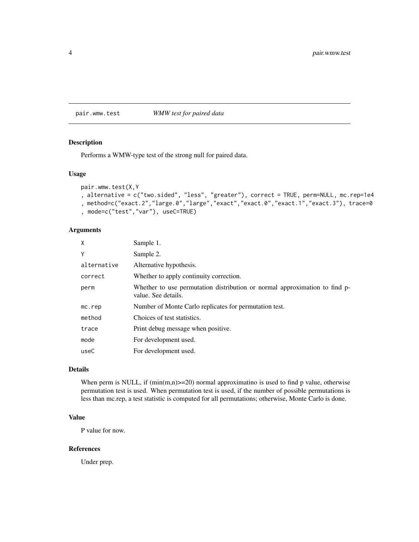<span id="page-3-0"></span>pair.wmw.test *WMW test for paired data*

#### Description

Performs a WMW-type test of the strong null for paired data.

#### Usage

```
pair.wmw.test(X,Y
, alternative = c("two.sided", "less", "greater"), correct = TRUE, perm=NULL, mc.rep=1e4
, method=c("exact.2","large.0","large","exact","exact.0","exact.1","exact.3"), trace=0
, mode=c("test","var"), useC=TRUE)
```
#### Arguments

| X            | Sample 1.                                                                                         |
|--------------|---------------------------------------------------------------------------------------------------|
| Υ            | Sample 2.                                                                                         |
| alternative  | Alternative hypothesis.                                                                           |
| correct      | Whether to apply continuity correction.                                                           |
| perm         | Whether to use permutation distribution or normal approximation to find p-<br>value. See details. |
| $mc$ . $rep$ | Number of Monte Carlo replicates for permutation test.                                            |
| method       | Choices of test statistics.                                                                       |
| trace        | Print debug message when positive.                                                                |
| mode         | For development used.                                                                             |
| useC         | For development used.                                                                             |

#### Details

When perm is NULL, if  $(min(m,n)=20)$  normal approximatino is used to find p value, otherwise permutation test is used. When permutation test is used, if the number of possible permutations is less than mc.rep, a test statistic is computed for all permutations; otherwise, Monte Carlo is done.

#### Value

P value for now.

#### References

Under prep.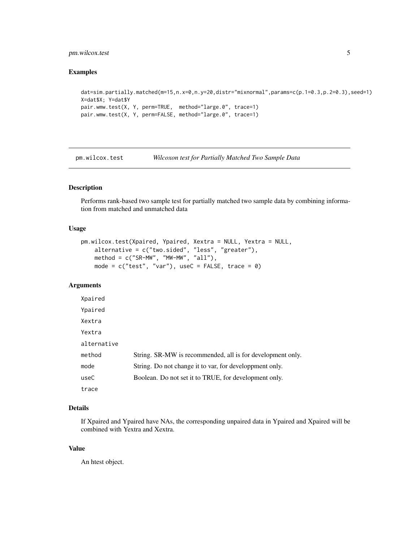#### <span id="page-4-0"></span>pm.wilcox.test 5

#### Examples

```
dat=sim.partially.matched(m=15,n.x=0,n.y=20,distr="mixnormal",params=c(p.1=0.3,p.2=0.3),seed=1)
X=dat$X; Y=dat$Y
pair.wmw.test(X, Y, perm=TRUE, method="large.0", trace=1)
pair.wmw.test(X, Y, perm=FALSE, method="large.0", trace=1)
```
pm.wilcox.test *Wilcoxon test for Partially Matched Two Sample Data*

#### Description

Performs rank-based two sample test for partially matched two sample data by combining information from matched and unmatched data

#### Usage

```
pm.wilcox.test(Xpaired, Ypaired, Xextra = NULL, Yextra = NULL,
   alternative = c("two.sided", "less", "greater"),
   method = c("SR-MW", "MW-MW", "all"),
   mode = c("test", "var"), useC = FALSE, trace = 0)
```
#### Arguments

| Xpaired     |                                                            |
|-------------|------------------------------------------------------------|
| Ypaired     |                                                            |
| Xextra      |                                                            |
| Yextra      |                                                            |
| alternative |                                                            |
| method      | String. SR-MW is recommended, all is for development only. |
| mode        | String. Do not change it to var, for developpment only.    |
| useC        | Boolean. Do not set it to TRUE, for development only.      |
| trace       |                                                            |

#### Details

If Xpaired and Ypaired have NAs, the corresponding unpaired data in Ypaired and Xpaired will be combined with Yextra and Xextra.

#### Value

An htest object.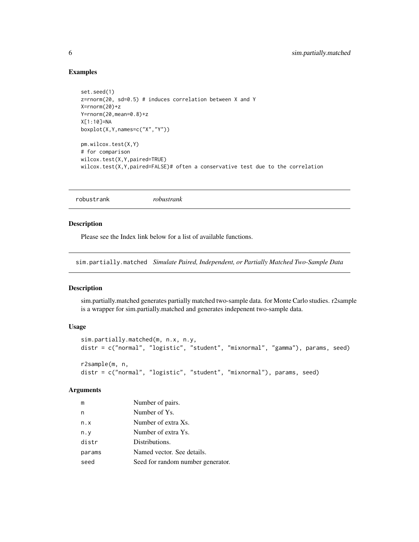#### Examples

```
set.seed(1)
z=rnorm(20, sd=0.5) # induces correlation between X and Y
X=rnorm(20)+z
Y=rnorm(20,mean=0.8)+z
X[1:10]=NA
boxplot(X,Y,names=c("X","Y"))
pm.wilcox.test(X,Y)
# for comparison
wilcox.test(X,Y,paired=TRUE)
wilcox.test(X,Y,paired=FALSE)# often a conservative test due to the correlation
```
robustrank *robustrank*

#### Description

Please see the Index link below for a list of available functions.

sim.partially.matched *Simulate Paired, Independent, or Partially Matched Two-Sample Data*

#### Description

sim.partially.matched generates partially matched two-sample data. for Monte Carlo studies. r2sample is a wrapper for sim.partially.matched and generates indepenent two-sample data.

#### Usage

```
sim.partially.matched(m, n.x, n.y,
distr = c("normal", "logistic", "student", "mixnormal", "gamma"), params, seed)
r2sample(m, n,
distr = c("normal", "logistic", "student", "mixnormal"), params, seed)
```
#### Arguments

| m      | Number of pairs.                  |
|--------|-----------------------------------|
| n      | Number of Ys.                     |
| n.x    | Number of extra Xs.               |
| n.y    | Number of extra Ys.               |
| distr  | Distributions.                    |
| params | Named vector. See details.        |
| seed   | Seed for random number generator. |

<span id="page-5-0"></span>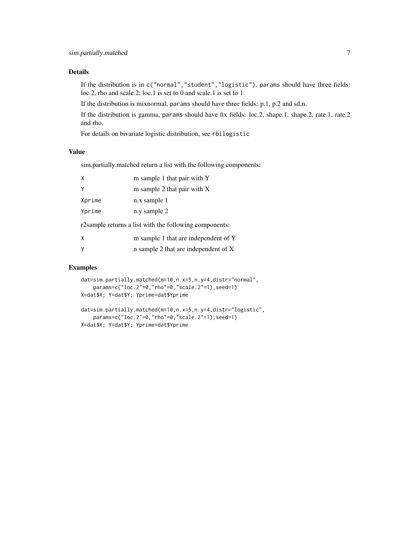#### Details

If the distribution is in c("normal","student","logistic"), params should have three fields: loc.2, rho and scale.2; loc.1 is set to 0 and scale.1 is set to 1.

If the distribution is mixnormal, params should have three fields: p.1, p.2 and sd.n.

If the distribution is gamma, params should have fix fields: loc.2, shape.1, shape.2, rate.1, rate.2 and rho.

For details on bivariate logistic distribution, see rbilogistic

#### Value

sim.partially.matched return a list with the following components:

| χ      | m sample 1 that pair with Y                            |
|--------|--------------------------------------------------------|
| γ      | m sample 2 that pair with X                            |
| Xprime | n.x sample 1                                           |
| Yprime | n.y sample 2                                           |
|        | r2sample returns a list with the following components: |
| χ      | m sample 1 that are independent of Y                   |

| n sample 2 that are independent of X |  |
|--------------------------------------|--|
|                                      |  |

#### Examples

```
dat=sim.partially.matched(m=10,n.x=5,n.y=4,distr="normal",
   params=c("loc.2"=0,"rho"=0,"scale.2"=1),seed=1)
X=dat$X; Y=dat$Y; Yprime=dat$Yprime
dat=sim.partially.matched(m=10,n.x=5,n.y=4,distr="logistic",
    params=c("loc.2"=0,"rho"=0,"scale.2"=1),seed=1)
X=dat$X; Y=dat$Y; Yprime=dat$Yprime
```